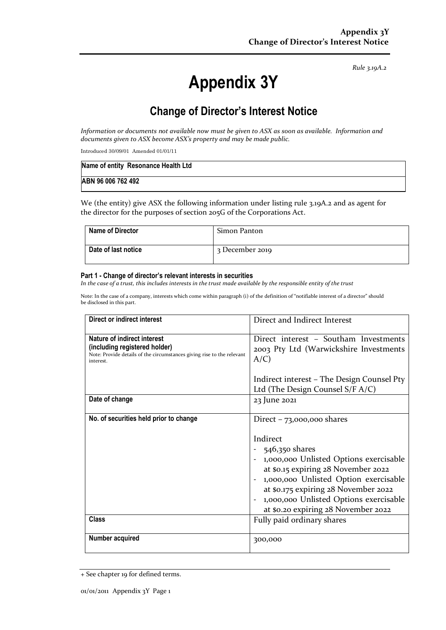*Rule 3.19A.2*

# **Appendix 3Y**

# **Change of Director's Interest Notice**

*Information or documents not available now must be given to ASX as soon as available. Information and documents given to ASX become ASX's property and may be made public.*

Introduced 30/09/01 Amended 01/01/11

| Name of entity Resonance Health Ltd |  |
|-------------------------------------|--|
| ABN 96 006 762 492                  |  |

We (the entity) give ASX the following information under listing rule 3.19A.2 and as agent for the director for the purposes of section 205G of the Corporations Act.

| <b>Name of Director</b> | Simon Panton    |
|-------------------------|-----------------|
| Date of last notice     | 3 December 2019 |

#### **Part 1 - Change of director's relevant interests in securities**

*In the case of a trust, this includes interests in the trust made available by the responsible entity of the trust*

Note: In the case of a company, interests which come within paragraph (i) of the definition of "notifiable interest of a director" should be disclosed in this part.

| Direct or indirect interest                                                                                                                         | Direct and Indirect Interest                                                                                                                                                                                                                                                                                   |  |
|-----------------------------------------------------------------------------------------------------------------------------------------------------|----------------------------------------------------------------------------------------------------------------------------------------------------------------------------------------------------------------------------------------------------------------------------------------------------------------|--|
| Nature of indirect interest<br>(including registered holder)<br>Note: Provide details of the circumstances giving rise to the relevant<br>interest. | Direct interest - Southam Investments<br>2003 Pty Ltd (Warwickshire Investments<br>$A/C$ )                                                                                                                                                                                                                     |  |
|                                                                                                                                                     | Indirect interest – The Design Counsel Pty<br>Ltd (The Design Counsel S/F A/C)                                                                                                                                                                                                                                 |  |
| Date of change                                                                                                                                      | 23 June 2021                                                                                                                                                                                                                                                                                                   |  |
| No. of securities held prior to change                                                                                                              | Direct $-73,000,000$ shares<br>Indirect<br>546,350 shares<br>- 1,000,000 Unlisted Options exercisable<br>at \$0.15 expiring 28 November 2022<br>1,000,000 Unlisted Option exercisable<br>at \$0.175 expiring 28 November 2022<br>1,000,000 Unlisted Options exercisable<br>at \$0.20 expiring 28 November 2022 |  |
| <b>Class</b>                                                                                                                                        | Fully paid ordinary shares                                                                                                                                                                                                                                                                                     |  |
| Number acquired                                                                                                                                     | 300,000                                                                                                                                                                                                                                                                                                        |  |

<sup>+</sup> See chapter 19 for defined terms.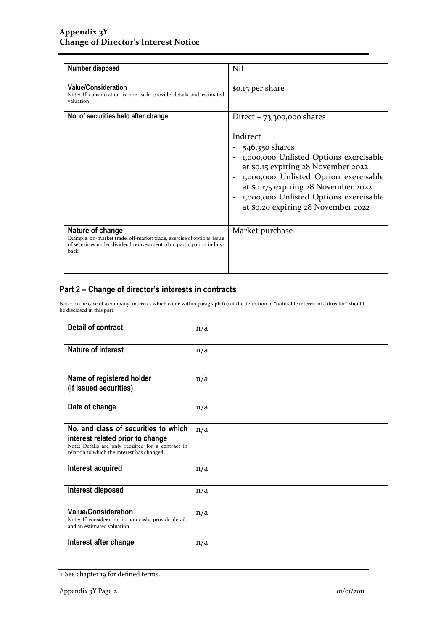| <b>Number disposed</b>                                                                                                                                                      | Nil                                                                                                                                                                                                                                                                                                          |
|-----------------------------------------------------------------------------------------------------------------------------------------------------------------------------|--------------------------------------------------------------------------------------------------------------------------------------------------------------------------------------------------------------------------------------------------------------------------------------------------------------|
| <b>Value/Consideration</b><br>Note: If consideration is non-cash, provide details and estimated<br>valuation                                                                | \$0.15 per share                                                                                                                                                                                                                                                                                             |
| No. of securities held after change                                                                                                                                         | Direct $-73,300,000$ shares<br>Indirect<br>546,350 shares<br>1,000,000 Unlisted Options exercisable<br>at \$0.15 expiring 28 November 2022<br>1,000,000 Unlisted Option exercisable<br>at \$0.175 expiring 28 November 2022<br>1,000,000 Unlisted Options exercisable<br>at \$0.20 expiring 28 November 2022 |
| Nature of change<br>Example: on-market trade, off-market trade, exercise of options, issue<br>of securities under dividend reinvestment plan, participation in buy-<br>back | Market purchase                                                                                                                                                                                                                                                                                              |

## **Part 2 – Change of director's interests in contracts**

Note: In the case of a company, interests which come within paragraph (ii) of the definition of "notifiable interest of a director" should be disclosed in this part.

| <b>Detail of contract</b>                                                                                                                                                   | n/a |
|-----------------------------------------------------------------------------------------------------------------------------------------------------------------------------|-----|
| <b>Nature of interest</b>                                                                                                                                                   | n/a |
| Name of registered holder<br>(if issued securities)                                                                                                                         | n/a |
| Date of change                                                                                                                                                              | n/a |
| No. and class of securities to which<br>interest related prior to change<br>Note: Details are only required for a contract in<br>relation to which the interest has changed | n/a |
| Interest acquired                                                                                                                                                           | n/a |
| Interest disposed                                                                                                                                                           | n/a |
| <b>Value/Consideration</b><br>Note: If consideration is non-cash, provide details<br>and an estimated valuation                                                             | n/a |
| Interest after change                                                                                                                                                       | n/a |

<sup>+</sup> See chapter 19 for defined terms.